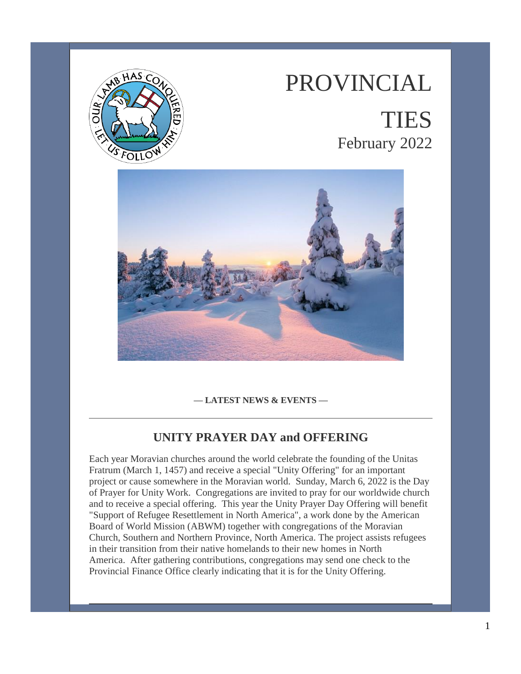

# PROVINCIAL

## TIES February 2022



**— LATEST NEWS & EVENTS —**

#### **UNITY PRAYER DAY and OFFERING**

Each year Moravian churches around the world celebrate the founding of the Unitas Fratrum (March 1, 1457) and receive a special "Unity Offering" for an important project or cause somewhere in the Moravian world. Sunday, March 6, 2022 is the Day of Prayer for Unity Work. Congregations are invited to pray for our worldwide church and to receive a special offering. This year the Unity Prayer Day Offering will benefit "Support of Refugee Resettlement in North America", a work done by the American Board of World Mission (ABWM) together with congregations of the Moravian Church, Southern and Northern Province, North America. The project assists refugees in their transition from their native homelands to their new homes in North America. After gathering contributions, congregations may send one check to the Provincial Finance Office clearly indicating that it is for the Unity Offering.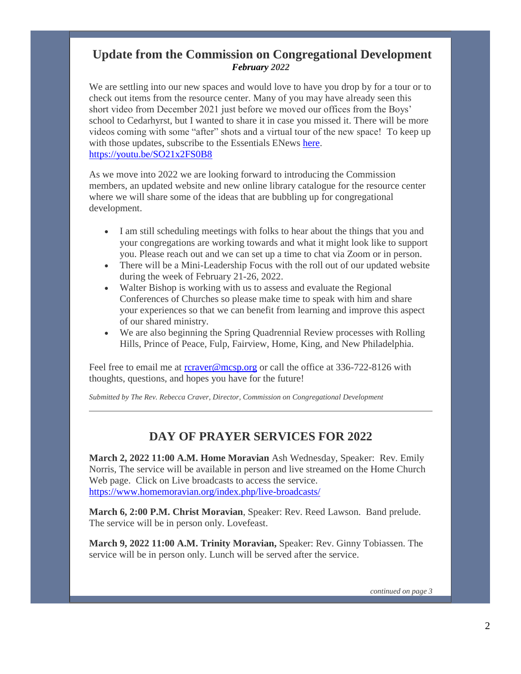#### **Update from the Commission on Congregational Development** *February 2022*

We are settling into our new spaces and would love to have you drop by for a tour or to check out items from the resource center. Many of you may have already seen this short video from December 2021 just before we moved our offices from the Boys' school to Cedarhyrst, but I wanted to share it in case you missed it. There will be more videos coming with some "after" shots and a virtual tour of the new space! To keep up with those updates, subscribe to the Essentials ENews [here.](https://www.moravian.org/bcm/2018/09/18/subscribe-to-our-e-newsletter/) <https://youtu.be/SO21x2FS0B8>

As we move into 2022 we are looking forward to introducing the Commission members, an updated website and new online library catalogue for the resource center where we will share some of the ideas that are bubbling up for congregational development.

- I am still scheduling meetings with folks to hear about the things that you and your congregations are working towards and what it might look like to support you. Please reach out and we can set up a time to chat via Zoom or in person.
- There will be a Mini-Leadership Focus with the roll out of our updated website during the week of February 21-26, 2022.
- Walter Bishop is working with us to assess and evaluate the Regional Conferences of Churches so please make time to speak with him and share your experiences so that we can benefit from learning and improve this aspect of our shared ministry.
- We are also beginning the Spring Quadrennial Review processes with Rolling Hills, Prince of Peace, Fulp, Fairview, Home, King, and New Philadelphia.

Feel free to email me at [rcraver@mcsp.org](mailto:rcraver@mcsp.org) or call the office at 336-722-8126 with thoughts, questions, and hopes you have for the future!

*Submitted by The Rev. Rebecca Craver, Director, Commission on Congregational Development*

#### **DAY OF PRAYER SERVICES FOR 2022**

**March 2, 2022 11:00 A.M. Home Moravian** Ash Wednesday, Speaker: Rev. Emily Norris, The service will be available in person and live streamed on the Home Church Web page. Click on Live broadcasts to access the service. <https://www.homemoravian.org/index.php/live-broadcasts/>

**March 6, 2:00 P.M. Christ Moravian**, Speaker: Rev. Reed Lawson. Band prelude. The service will be in person only. Lovefeast.

**March 9, 2022 11:00 A.M. Trinity Moravian,** Speaker: Rev. Ginny Tobiassen. The service will be in person only. Lunch will be served after the service.

*continued on page 3*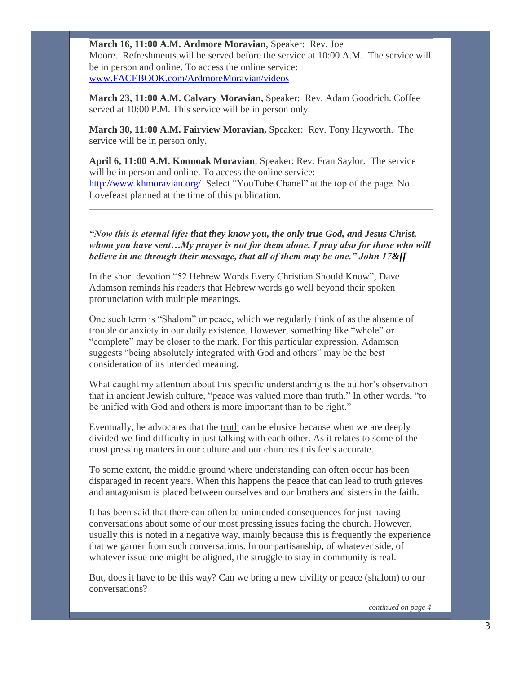**March 16, 11:00 A.M. Ardmore Moravian**, Speaker: Rev. Joe Moore. Refreshments will be served before the service at 10:00 A.M. The service will be in person and online. To access the online service: [www.FACEBOOK.com/ArdmoreMoravian/videos](http://www.facebook.com/ArdmoreMoravian/videos)

**March 23, 11:00 A.M. Calvary Moravian,** Speaker: Rev. Adam Goodrich. Coffee served at 10:00 P.M. This service will be in person only.

**March 30, 11:00 A.M. Fairview Moravian,** Speaker: Rev. Tony Hayworth. The service will be in person only.

**April 6, 11:00 A.M. Konnoak Moravian**, Speaker: Rev. Fran Saylor. The service will be in person and online. To access the online service: <http://www.khmoravian.org/> Select "YouTube Chanel" at the top of the page. No Lovefeast planned at the time of this publication.

*"Now this is eternal life: that they know you, the only true God, and Jesus Christ, whom you have sent…My prayer is not for them alone. I pray also for those who will believe in me through their message, that all of them may be one." John 17&ff*

In the short devotion "52 Hebrew Words Every Christian Should Know", Dave Adamson reminds his readers that Hebrew words go well beyond their spoken pronunciation with multiple meanings.

One such term is "Shalom" or peace, which we regularly think of as the absence of trouble or anxiety in our daily existence. However, something like "whole" or "complete" may be closer to the mark. For this particular expression, Adamson suggests "being absolutely integrated with God and others" may be the best consideration of its intended meaning.

What caught my attention about this specific understanding is the author's observation that in ancient Jewish culture, "peace was valued more than truth." In other words, "to be unified with God and others is more important than to be right."

Eventually, he advocates that the truth can be elusive because when we are deeply divided we find difficulty in just talking with each other. As it relates to some of the most pressing matters in our culture and our churches this feels accurate.

To some extent, the middle ground where understanding can often occur has been disparaged in recent years. When this happens the peace that can lead to truth grieves and antagonism is placed between ourselves and our brothers and sisters in the faith.

It has been said that there can often be unintended consequences for just having conversations about some of our most pressing issues facing the church. However, usually this is noted in a negative way, mainly because this is frequently the experience that we garner from such conversations. In our partisanship, of whatever side, of whatever issue one might be aligned, the struggle to stay in community is real.

But, does it have to be this way? Can we bring a new civility or peace (shalom) to our conversations?

 *continued on page 4*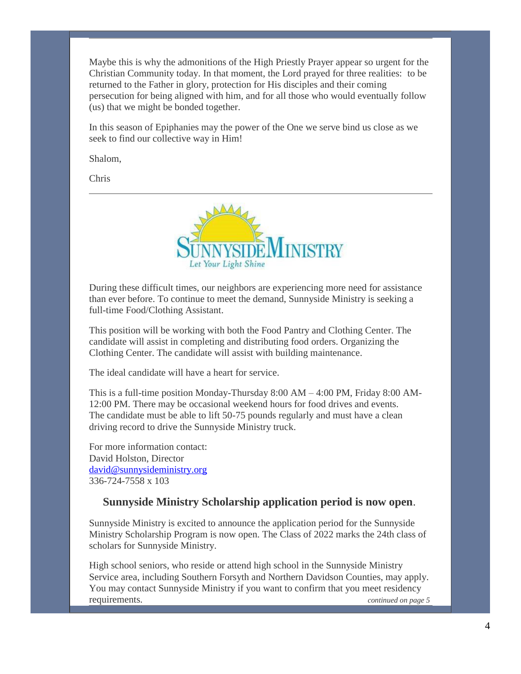Maybe this is why the admonitions of the High Priestly Prayer appear so urgent for the Christian Community today. In that moment, the Lord prayed for three realities: to be returned to the Father in glory, protection for His disciples and their coming persecution for being aligned with him, and for all those who would eventually follow (us) that we might be bonded together.

In this season of Epiphanies may the power of the One we serve bind us close as we seek to find our collective way in Him!

Shalom,

Chris



During these difficult times, our neighbors are experiencing more need for assistance than ever before. To continue to meet the demand, Sunnyside Ministry is seeking a full-time Food/Clothing Assistant.

This position will be working with both the Food Pantry and Clothing Center. The candidate will assist in completing and distributing food orders. Organizing the Clothing Center. The candidate will assist with building maintenance.

The ideal candidate will have a heart for service.

This is a full-time position Monday-Thursday  $8:00 \text{ AM} - 4:00 \text{ PM}$ , Friday  $8:00 \text{ AM}$ -12:00 PM. There may be occasional weekend hours for food drives and events. The candidate must be able to lift 50-75 pounds regularly and must have a clean driving record to drive the Sunnyside Ministry truck.

For more information contact: David Holston, Director [david@sunnysideministry.org](mailto:david@sunnysideministry.org) 336-724-7558 x 103

#### **Sunnyside Ministry Scholarship application period is now open**.

Sunnyside Ministry is excited to announce the application period for the Sunnyside Ministry Scholarship Program is now open. The Class of 2022 marks the 24th class of scholars for Sunnyside Ministry.

High school seniors, who reside or attend high school in the Sunnyside Ministry Service area, including Southern Forsyth and Northern Davidson Counties, may apply. You may contact Sunnyside Ministry if you want to confirm that you meet residency requirements. *continued on page 5*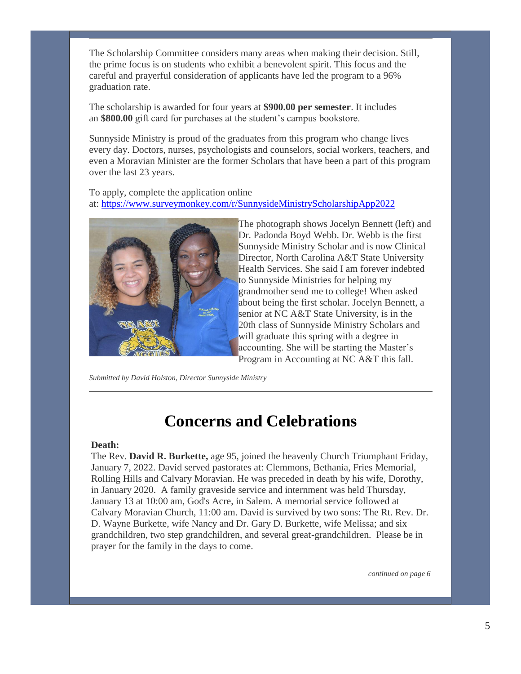The Scholarship Committee considers many areas when making their decision. Still, the prime focus is on students who exhibit a benevolent spirit. This focus and the careful and prayerful consideration of applicants have led the program to a 96% graduation rate.

The scholarship is awarded for four years at **\$900.00 per semester**. It includes an **\$800.00** gift card for purchases at the student's campus bookstore.

Sunnyside Ministry is proud of the graduates from this program who change lives every day. Doctors, nurses, psychologists and counselors, social workers, teachers, and even a Moravian Minister are the former Scholars that have been a part of this program over the last 23 years.

To apply, complete the application online at: <https://www.surveymonkey.com/r/SunnysideMinistryScholarshipApp2022>



The photograph shows Jocelyn Bennett (left) and Dr. Padonda Boyd Webb. Dr. Webb is the first Sunnyside Ministry Scholar and is now Clinical Director, North Carolina A&T State University Health Services. She said I am forever indebted to Sunnyside Ministries for helping my grandmother send me to college! When asked about being the first scholar. Jocelyn Bennett, a senior at NC A&T State University, is in the 20th class of Sunnyside Ministry Scholars and will graduate this spring with a degree in accounting. She will be starting the Master's Program in Accounting at NC A&T this fall.

*Submitted by David Holston, Director Sunnyside Ministry*

## **Concerns and Celebrations**

#### **Death:**

The Rev. **David R. Burkette,** age 95, joined the heavenly Church Triumphant Friday, January 7, 2022. David served pastorates at: Clemmons, Bethania, Fries Memorial, Rolling Hills and Calvary Moravian. He was preceded in death by his wife, Dorothy, in January 2020. A family graveside service and internment was held Thursday, January 13 at 10:00 am, God's Acre, in Salem. A memorial service followed at Calvary Moravian Church, 11:00 am. David is survived by two sons: The Rt. Rev. Dr. D. Wayne Burkette, wife Nancy and Dr. Gary D. Burkette, wife Melissa; and six grandchildren, two step grandchildren, and several great-grandchildren. Please be in prayer for the family in the days to come.

*continued on page 6*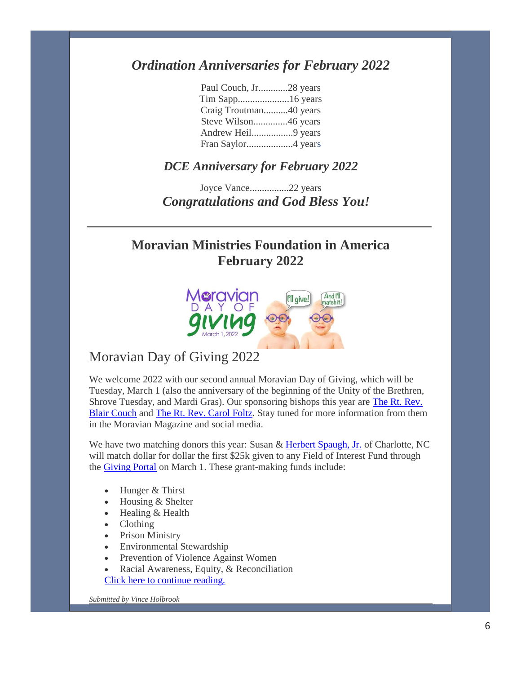### *Ordination Anniversaries for February 2022*

| Paul Couch, Jr28 years |  |
|------------------------|--|
|                        |  |
| Craig Troutman40 years |  |
| Steve Wilson46 years   |  |
| Andrew Heil9 years     |  |
|                        |  |

#### *DCE Anniversary for February 2022*

Joyce Vance................22 years *Congratulations and God Bless You!*

## **Moravian Ministries Foundation in America February 2022**



#### Moravian Day of Giving 2022

We welcome 2022 with our second annual Moravian Day of Giving, which will be Tuesday, March 1 (also the anniversary of the beginning of the Unity of the Brethren, Shrove Tuesday, and Mardi Gras). Our sponsoring bishops this year are [The Rt. Rev.](https://mmfa.info/uncategorized/the-rt-rev-m-blair-couch/)  [Blair Couch](https://mmfa.info/uncategorized/the-rt-rev-m-blair-couch/) and [The Rt. Rev. Carol Foltz.](https://mmfa.info/uncategorized/the-rt-rev-carol-foltz/) Stay tuned for more information from them in the Moravian Magazine and social media.

We have two matching donors this year: Susan & [Herbert Spaugh, Jr.](https://mmfa.info/guest-blogger/extraordinary-tribute/) of Charlotte, NC will match dollar for dollar the first \$25k given to any Field of Interest Fund through the [Giving Portal](https://mmfa.info/giving-portal/) on March 1. These grant-making funds include:

- Hunger & Thirst
- Housing & Shelter
- Healing & Health
- Clothing
- Prison Ministry
- Environmental Stewardship
- Prevention of Violence Against Women
- Racial Awareness, Equity, & Reconciliation [Click here to continue reading.](https://mmfa.info/blog/moravian-day-of-giving-2022/)

*Submitted by Vince Holbrook*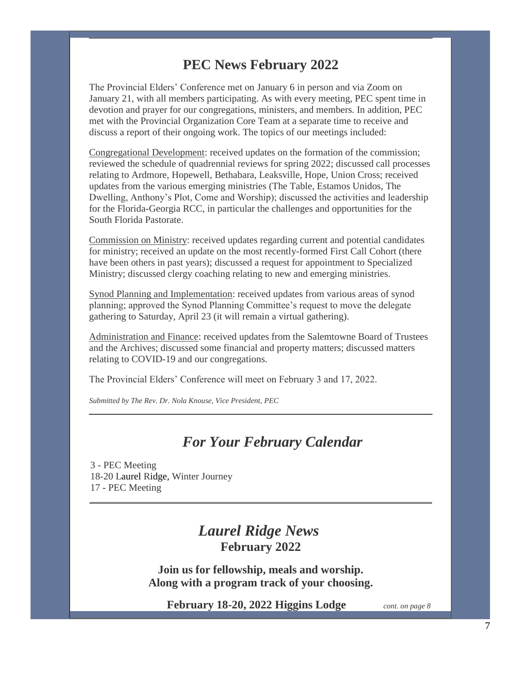## **PEC News February 2022**

The Provincial Elders' Conference met on January 6 in person and via Zoom on January 21, with all members participating. As with every meeting, PEC spent time in devotion and prayer for our congregations, ministers, and members. In addition, PEC met with the Provincial Organization Core Team at a separate time to receive and discuss a report of their ongoing work. The topics of our meetings included:

Congregational Development: received updates on the formation of the commission; reviewed the schedule of quadrennial reviews for spring 2022; discussed call processes relating to Ardmore, Hopewell, Bethabara, Leaksville, Hope, Union Cross; received updates from the various emerging ministries (The Table, Estamos Unidos, The Dwelling, Anthony's Plot, Come and Worship); discussed the activities and leadership for the Florida-Georgia RCC, in particular the challenges and opportunities for the South Florida Pastorate.

Commission on Ministry: received updates regarding current and potential candidates for ministry; received an update on the most recently-formed First Call Cohort (there have been others in past years); discussed a request for appointment to Specialized Ministry; discussed clergy coaching relating to new and emerging ministries.

Synod Planning and Implementation: received updates from various areas of synod planning; approved the Synod Planning Committee's request to move the delegate gathering to Saturday, April 23 (it will remain a virtual gathering).

Administration and Finance: received updates from the Salemtowne Board of Trustees and the Archives; discussed some financial and property matters; discussed matters relating to COVID-19 and our congregations.

The Provincial Elders' Conference will meet on February 3 and 17, 2022.

*Submitted by The Rev. Dr. Nola Knouse, Vice President, PEC*

#### *For Your February Calendar*

3 - PEC Meeting 18-20 Laurel Ridge, Winter Journey 17 - PEC Meeting

## *Laurel Ridge News* **February 2022**

**Join us for fellowship, meals and worship. Along with a program track of your choosing.**

 **February 18-20, 2022 Higgins Lodge** *cont. on page 8*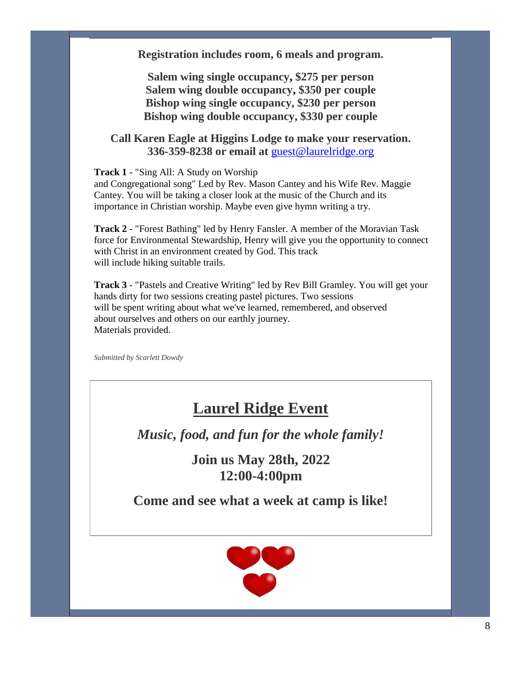**Registration includes room, 6 meals and program.**

**Salem wing single occupancy, \$275 per person Salem wing double occupancy, \$350 per couple Bishop wing single occupancy, \$230 per person Bishop wing double occupancy, \$330 per couple**

#### **Call Karen Eagle at Higgins Lodge to make your reservation. 336-359-8238 or email at** [guest@laurelridge.org](mailto:guest@laurelridge.org)

**Track 1 -** "Sing All: A Study on Worship

and Congregational song" Led by Rev. Mason Cantey and his Wife Rev. Maggie Cantey. You will be taking a closer look at the music of the Church and its importance in Christian worship. Maybe even give hymn writing a try.

**Track 2** - "Forest Bathing" led by Henry Fansler. A member of the Moravian Task force for Environmental Stewardship, Henry will give you the opportunity to connect with Christ in an environment created by God. This track will include hiking suitable trails.

**Track 3** - "Pastels and Creative Writing" led by Rev Bill Gramley. You will get your hands dirty for two sessions creating pastel pictures. Two sessions will be spent writing about what we've learned, remembered, and observed about ourselves and others on our earthly journey. Materials provided.

*Submitted by Scarlett Dowdy*

## **Laurel Ridge Event**

*Music, food, and fun for the whole family!*

**Join us May 28th, 2022 12:00-4:00pm**

**Come and see what a week at camp is like!**